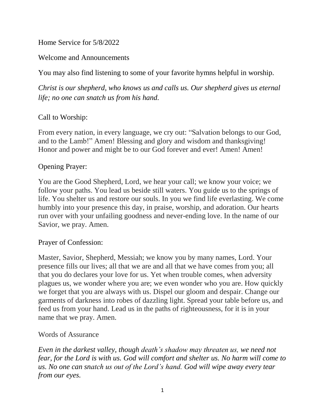Home Service for 5/8/2022

Welcome and Announcements

You may also find listening to some of your favorite hymns helpful in worship.

*Christ is our shepherd, who knows us and calls us. Our shepherd gives us eternal life; no one can snatch us from his hand.*

## Call to Worship:

From every nation, in every language, we cry out: "Salvation belongs to our God, and to the Lamb!" Amen! Blessing and glory and wisdom and thanksgiving! Honor and power and might be to our God forever and ever! Amen! Amen!

### Opening Prayer:

You are the Good Shepherd, Lord, we hear your call; we know your voice; we follow your paths. You lead us beside still waters. You guide us to the springs of life. You shelter us and restore our souls. In you we find life everlasting. We come humbly into your presence this day, in praise, worship, and adoration. Our hearts run over with your unfailing goodness and never-ending love. In the name of our Savior, we pray. Amen.

#### Prayer of Confession:

Master, Savior, Shepherd, Messiah; we know you by many names, Lord. Your presence fills our lives; all that we are and all that we have comes from you; all that you do declares your love for us. Yet when trouble comes, when adversity plagues us, we wonder where you are; we even wonder who you are. How quickly we forget that you are always with us. Dispel our gloom and despair. Change our garments of darkness into robes of dazzling light. Spread your table before us, and feed us from your hand. Lead us in the paths of righteousness, for it is in your name that we pray. Amen.

#### Words of Assurance

*Even in the darkest valley, though death's shadow may threaten us, we need not fear, for the Lord is with us. God will comfort and shelter us. No harm will come to us. No one can snatch us out of the Lord's hand. God will wipe away every tear from our eyes.*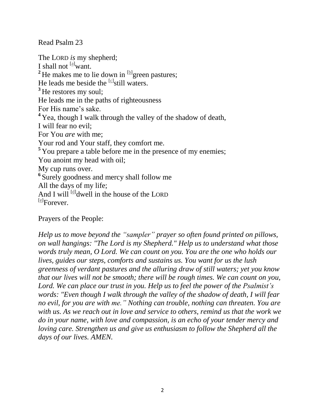Read Psalm 23

The LORD *is* my shepherd; I shall not  $^{[a]}$  $^{[a]}$  $^{[a]}$  want. <sup>2</sup> He makes me to lie down in  $\mathbb{E}$  green pastures; He leads me beside the  $[6]$ still waters. **<sup>3</sup>** He restores my soul; He leads me in the paths of righteousness For His name's sake. <sup>4</sup> Yea, though I walk through the valley of the shadow of death, I will fear no evil; For You *are* with me; Your rod and Your staff, they comfort me. **<sup>5</sup>** You prepare a table before me in the presence of my enemies; You anoint my head with oil; My cup runs over. **6** Surely goodness and mercy shall follow me All the days of my life; And I will  $\left[\frac{d}{dx}\right]$  well in the house of the LORD [\[e\]](https://www.biblegateway.com/passage/?search=Psalm+23&version=NKJV#fen-NKJV-14242e) Forever.

Prayers of the People:

*Help us to move beyond the "sampler" prayer so often found printed on pillows, on wall hangings: "The Lord is my Shepherd." Help us to understand what those words truly mean, O Lord. We can count on you. You are the one who holds our lives, guides our steps, comforts and sustains us. You want for us the lush greenness of verdant pastures and the alluring draw of still waters; yet you know that our lives will not be smooth; there will be rough times. We can count on you, Lord. We can place our trust in you. Help us to feel the power of the Psalmist's words: "Even though I walk through the valley of the shadow of death, I will fear no evil, for you are with me." Nothing can trouble, nothing can threaten. You are with us. As we reach out in love and service to others, remind us that the work we do in your name, with love and compassion, is an echo of your tender mercy and loving care. Strengthen us and give us enthusiasm to follow the Shepherd all the days of our lives. AMEN.*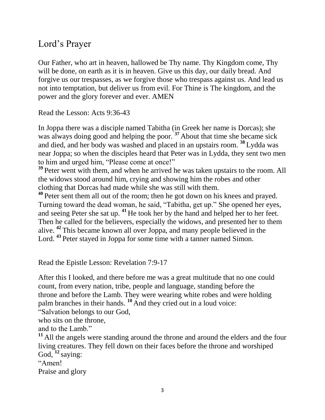# Lord's Prayer

Our Father, who art in heaven, hallowed be Thy name. Thy Kingdom come, Thy will be done, on earth as it is in heaven. Give us this day, our daily bread. And forgive us our trespasses, as we forgive those who trespass against us. And lead us not into temptation, but deliver us from evil. For Thine is The kingdom, and the power and the glory forever and ever. AMEN

Read the Lesson: Acts 9:36-43

In Joppa there was a disciple named Tabitha (in Greek her name is Dorcas); she was always doing good and helping the poor.<sup>37</sup> About that time she became sick and died, and her body was washed and placed in an upstairs room. **<sup>38</sup>** Lydda was near Joppa; so when the disciples heard that Peter was in Lydda, they sent two men to him and urged him, "Please come at once!"

<sup>39</sup> Peter went with them, and when he arrived he was taken upstairs to the room. All the widows stood around him, crying and showing him the robes and other clothing that Dorcas had made while she was still with them.

**<sup>40</sup>** Peter sent them all out of the room; then he got down on his knees and prayed. Turning toward the dead woman, he said, "Tabitha, get up." She opened her eyes, and seeing Peter she sat up. **<sup>41</sup>** He took her by the hand and helped her to her feet. Then he called for the believers, especially the widows, and presented her to them alive. **<sup>42</sup>** This became known all over Joppa, and many people believed in the Lord. <sup>43</sup> Peter stayed in Joppa for some time with a tanner named Simon.

Read the Epistle Lesson: Revelation 7:9-17

After this I looked, and there before me was a great multitude that no one could count, from every nation, tribe, people and language, standing before the throne and before the Lamb. They were wearing white robes and were holding palm branches in their hands. <sup>10</sup> And they cried out in a loud voice:

"Salvation belongs to our God,

who sits on the throne,

and to the Lamb."

**<sup>11</sup>** All the angels were standing around the throne and around the elders and the four living creatures. They fell down on their faces before the throne and worshiped God, <sup>12</sup> saying:

"Amen!

Praise and glory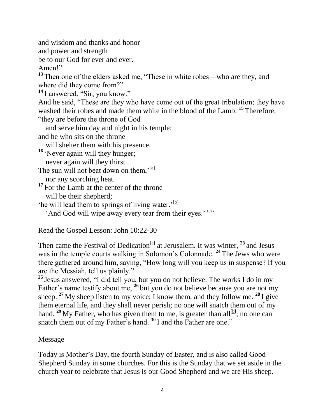and wisdom and thanks and honor

and power and strength

be to our God for ever and ever.

Amen!"

**<sup>13</sup>** Then one of the elders asked me, "These in white robes—who are they, and where did they come from?"

<sup>14</sup> I answered, "Sir, you know."

And he said, "These are they who have come out of the great tribulation; they have washed their robes and made them white in the blood of the Lamb. **<sup>15</sup>** Therefore, "they are before the throne of God

and serve him day and night in his temple;

and he who sits on the throne

will shelter them with his presence.

<sup>16</sup> 'Never again will they hunger;

never again will they thirst.

The sun will not beat down on them,'[\[a\]](https://www.biblegateway.com/passage/?search=Revelation+7%3A9-17&version=NIV#fen-NIV-30827a)

nor any scorching heat.

<sup>17</sup> For the Lamb at the center of the throne will be their shepherd;

'he will lead them to springs of living water.'<sup>[\[b\]](https://www.biblegateway.com/passage/?search=Revelation+7%3A9-17&version=NIV#fen-NIV-30828b)</sup>

'And God will wipe away every tear from their eyes.'<sup>[\[c\]](https://www.biblegateway.com/passage/?search=Revelation+7%3A9-17&version=NIV#fen-NIV-30828c)</sup>"

Read the Gospel Lesson: John 10:22-30

Then came the Festival of Dedication<sup>[\[a\]](https://www.biblegateway.com/passage/?search=John+10%3A22-30&version=NIV#fen-NIV-26504a)</sup> at Jerusalem. It was winter, <sup>23</sup> and Jesus was in the temple courts walking in Solomon's Colonnade. **<sup>24</sup>** The Jews who were there gathered around him, saying, "How long will you keep us in suspense? If you are the Messiah, tell us plainly."

**<sup>25</sup>** Jesus answered, "I did tell you, but you do not believe. The works I do in my Father's name testify about me, <sup>26</sup> but you do not believe because you are not my sheep. **<sup>27</sup>** My sheep listen to my voice; I know them, and they follow me. **<sup>28</sup>** I give them eternal life, and they shall never perish; no one will snatch them out of my hand. <sup>29</sup> My Father, who has given them to me, is greater than all<sup>[\[b\]](https://www.biblegateway.com/passage/?search=John+10%3A22-30&version=NIV#fen-NIV-26511b)</sup>; no one can snatch them out of my Father's hand. **<sup>30</sup>** I and the Father are one."

Message

Today is Mother's Day, the fourth Sunday of Easter, and is also called Good Shepherd Sunday in some churches. For this is the Sunday that we set aside in the church year to celebrate that Jesus is our Good Shepherd and we are His sheep.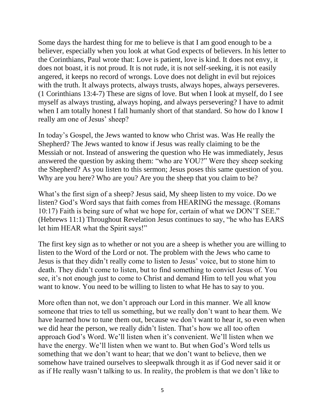Some days the hardest thing for me to believe is that I am good enough to be a believer, especially when you look at what God expects of believers. In his letter to the Corinthians, Paul wrote that: Love is patient, love is kind. It does not envy, it does not boast, it is not proud. It is not rude, it is not self-seeking, it is not easily angered, it keeps no record of wrongs. Love does not delight in evil but rejoices with the truth. It always protects, always trusts, always hopes, always perseveres. (1 Corinthians 13:4-7) These are signs of love. But when I look at myself, do I see myself as always trusting, always hoping, and always persevering? I have to admit when I am totally honest I fall humanly short of that standard. So how do I know I really am one of Jesus' sheep?

In today's Gospel, the Jews wanted to know who Christ was. Was He really the Shepherd? The Jews wanted to know if Jesus was really claiming to be the Messiah or not. Instead of answering the question who He was immediately, Jesus answered the question by asking them: "who are YOU?" Were they sheep seeking the Shepherd? As you listen to this sermon; Jesus poses this same question of you. Why are you here? Who are you? Are you the sheep that you claim to be?

What's the first sign of a sheep? Jesus said, My sheep listen to my voice. Do we listen? God's Word says that faith comes from HEARING the message. (Romans 10:17) Faith is being sure of what we hope for, certain of what we DON'T SEE." (Hebrews 11:1) Throughout Revelation Jesus continues to say, "he who has EARS let him HEAR what the Spirit says!"

The first key sign as to whether or not you are a sheep is whether you are willing to listen to the Word of the Lord or not. The problem with the Jews who came to Jesus is that they didn't really come to listen to Jesus' voice, but to stone him to death. They didn't come to listen, but to find something to convict Jesus of. You see, it's not enough just to come to Christ and demand Him to tell you what you want to know. You need to be willing to listen to what He has to say to you.

More often than not, we don't approach our Lord in this manner. We all know someone that tries to tell us something, but we really don't want to hear them. We have learned how to tune them out, because we don't want to hear it, so even when we did hear the person, we really didn't listen. That's how we all too often approach God's Word. We'll listen when it's convenient. We'll listen when we have the energy. We'll listen when we want to. But when God's Word tells us something that we don't want to hear; that we don't want to believe, then we somehow have trained ourselves to sleepwalk through it as if God never said it or as if He really wasn't talking to us. In reality, the problem is that we don't like to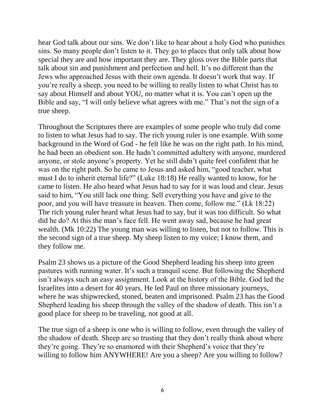hear God talk about our sins. We don't like to hear about a holy God who punishes sins. So many people don't listen to it. They go to places that only talk about how special they are and how important they are. They gloss over the Bible parts that talk about sin and punishment and perfection and hell. It's no different than the Jews who approached Jesus with their own agenda. It doesn't work that way. If you're really a sheep, you need to be willing to really listen to what Christ has to say about Himself and about YOU, no matter what it is. You can't open up the Bible and say, "I will only believe what agrees with me." That's not the sign of a true sheep.

Throughout the Scriptures there are examples of some people who truly did come to listen to what Jesus had to say. The rich young ruler is one example. With some background in the Word of God - he felt like he was on the right path. In his mind, he had been an obedient son. He hadn't committed adultery with anyone, murdered anyone, or stole anyone's property. Yet he still didn't quite feel confident that he was on the right path. So he came to Jesus and asked him, "good teacher, what must I do to inherit eternal life?" (Luke 18:18) He really wanted to know, for he came to listen. He also heard what Jesus had to say for it was loud and clear. Jesus said to him, "You still lack one thing. Sell everything you have and give to the poor, and you will have treasure in heaven. Then come, follow me." (Lk 18:22) The rich young ruler heard what Jesus had to say, but it was too difficult. So what did he do? At this the man's face fell. He went away sad, because he had great wealth. (Mk 10:22) The young man was willing to listen, but not to follow. This is the second sign of a true sheep. My sheep listen to my voice; I know them, and they follow me.

Psalm 23 shows us a picture of the Good Shepherd leading his sheep into green pastures with running water. It's such a tranquil scene. But following the Shepherd isn't always such an easy assignment. Look at the history of the Bible. God led the Israelites into a desert for 40 years. He led Paul on three missionary journeys, where he was shipwrecked, stoned, beaten and imprisoned. Psalm 23 has the Good Shepherd leading his sheep through the valley of the shadow of death. This isn't a good place for sheep to be traveling, not good at all.

The true sign of a sheep is one who is willing to follow, even through the valley of the shadow of death. Sheep are so trusting that they don't really think about where they're going. They're so enamored with their Shepherd's voice that they're willing to follow him ANYWHERE! Are you a sheep? Are you willing to follow?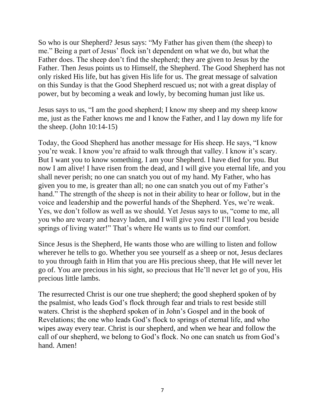So who is our Shepherd? Jesus says: "My Father has given them (the sheep) to me." Being a part of Jesus' flock isn't dependent on what we do, but what the Father does. The sheep don't find the shepherd; they are given to Jesus by the Father. Then Jesus points us to Himself, the Shepherd. The Good Shepherd has not only risked His life, but has given His life for us. The great message of salvation on this Sunday is that the Good Shepherd rescued us; not with a great display of power, but by becoming a weak and lowly, by becoming human just like us.

Jesus says to us, "I am the good shepherd; I know my sheep and my sheep know me, just as the Father knows me and I know the Father, and I lay down my life for the sheep. (John 10:14-15)

Today, the Good Shepherd has another message for His sheep. He says, "I know you're weak. I know you're afraid to walk through that valley. I know it's scary. But I want you to know something. I am your Shepherd. I have died for you. But now I am alive! I have risen from the dead, and I will give you eternal life, and you shall never perish; no one can snatch you out of my hand. My Father, who has given you to me, is greater than all; no one can snatch you out of my Father's hand." The strength of the sheep is not in their ability to hear or follow, but in the voice and leadership and the powerful hands of the Shepherd. Yes, we're weak. Yes, we don't follow as well as we should. Yet Jesus says to us, "come to me, all you who are weary and heavy laden, and I will give you rest! I'll lead you beside springs of living water!" That's where He wants us to find our comfort.

Since Jesus is the Shepherd, He wants those who are willing to listen and follow wherever he tells to go. Whether you see yourself as a sheep or not, Jesus declares to you through faith in Him that you are His precious sheep, that He will never let go of. You are precious in his sight, so precious that He'll never let go of you, His precious little lambs.

The resurrected Christ is our one true shepherd; the good shepherd spoken of by the psalmist, who leads God's flock through fear and trials to rest beside still waters. Christ is the shepherd spoken of in John's Gospel and in the book of Revelations; the one who leads God's flock to springs of eternal life, and who wipes away every tear. Christ is our shepherd, and when we hear and follow the call of our shepherd, we belong to God's flock. No one can snatch us from God's hand. Amen!